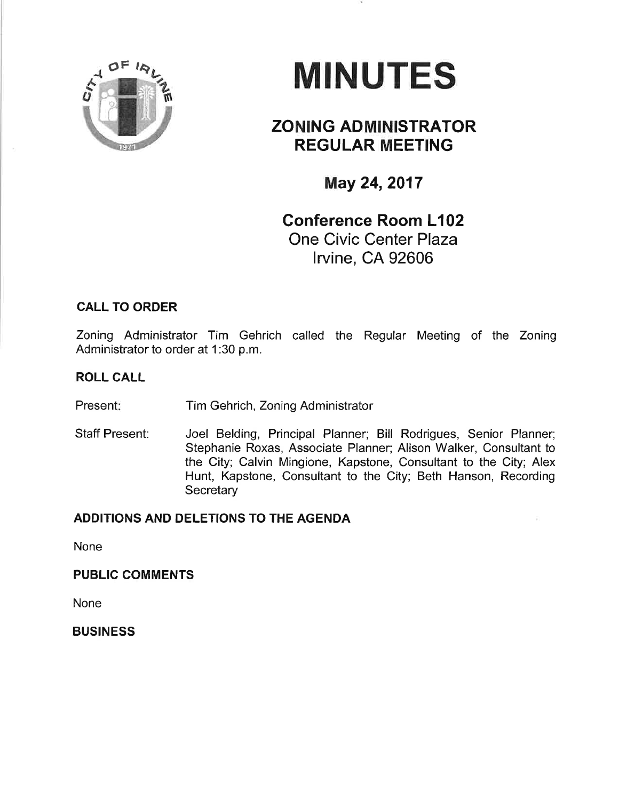

# **MINUTES**

# ZONING ADMINISTRATOR REGULAR MEETING

May 24, 2017

## Conference Room L102 One Civic Center Plaza lrvine, CA 92606

## CALL TO ORDER

Zoning Adminístrator Tim Gehrich called the Regular Meeting of the Zoning Administrator to order at 1:30 p.m.

## ROLL CALL

Present: Tim Gehrich, Zoning Administrator

Staff Present: Joel Beldíng, Principal Pfanner; Bill Rodrigues, Senior Planner; Stephanie Roxas, Associate Planner; Alison Walker, Consultant to the City; Calvin Mingione, Kapstone, Consultant to the City; Alex Hunt, Kapstone, Consultant to the City; Beth Hanson, Recording **Secretary** 

#### ADDITIONS AND DELETIONS TO THE AGENDA

None

PUBLIC COMMENTS

**None** 

**BUSINESS**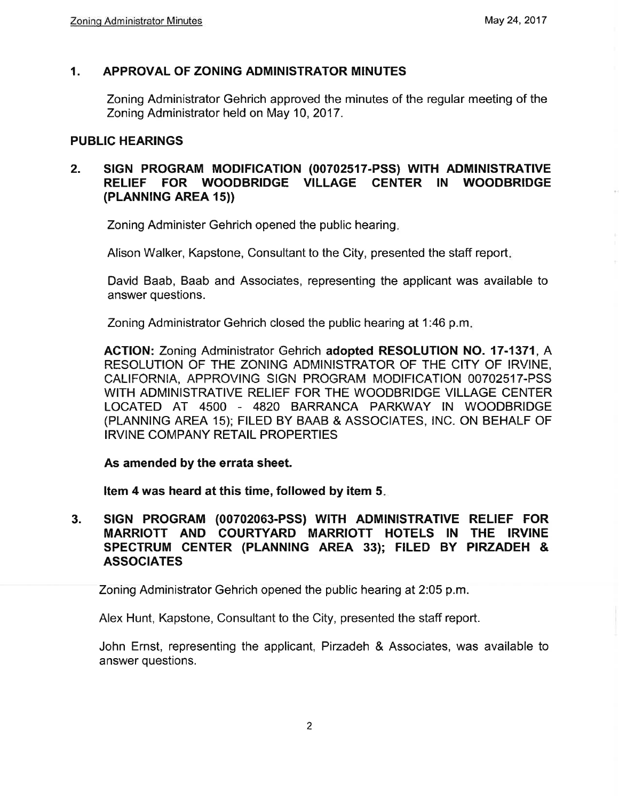#### $\mathbf{1}$ . APPROVAL OF ZONING ADMINISTRATOR MINUTES

Zoning Administrator Gehrich approved the minutes of the regular meeting of the Zoning Administrator held on May 10, 2017.

### **PUBLIC HEARINGS**

#### SIGN PROGRAM MODIFICATION (00702517-PSS) WITH ADMINISTRATIVE  $2<sub>-</sub>$ RELIEF FOR WOODBRIDGE VILLAGE CENTER IN WOODBRIDGE (PLANNING AREA 15))

Zoning Administer Gehrich opened the public hearing.

Alison Walker, Kapstone, Consultant to the City, presented the staff report.

David Baab, Baab and Associates, representing the applicant was available to answer questions.

Zoning Administrator Gehrich closed the public hearing at 1:46 p.m.

ACTION: Zoning Administrator Gehrich adopted RESOLUTION NO. 17-1371, A RESOLUTION OF THE ZONING ADMINISTRATOR OF THE CITY OF IRVINE. CALIFORNIA, APPROVING SIGN PROGRAM MODIFICATION 00702517-PSS WITH ADMINISTRATIVE RELIEF FOR THE WOODBRIDGE VILLAGE CENTER LOCATED AT 4500 - 4820 BARRANCA PARKWAY IN WOODBRIDGE (PLANNING AREA 15): FILED BY BAAB & ASSOCIATES. INC. ON BEHALF OF **IRVINE COMPANY RETAIL PROPERTIES** 

#### As amended by the errata sheet.

Item 4 was heard at this time, followed by item 5.

 $3.$ SIGN PROGRAM (00702063-PSS) WITH ADMINISTRATIVE RELIEF FOR MARRIOTT AND COURTYARD MARRIOTT HOTELS IN THE IRVINE SPECTRUM CENTER (PLANNING AREA 33); FILED BY PIRZADEH & **ASSOCIATES** 

Zoning Administrator Gehrich opened the public hearing at 2:05 p.m.

Alex Hunt, Kapstone, Consultant to the City, presented the staff report.

John Ernst, representing the applicant, Pirzadeh & Associates, was available to answer questions.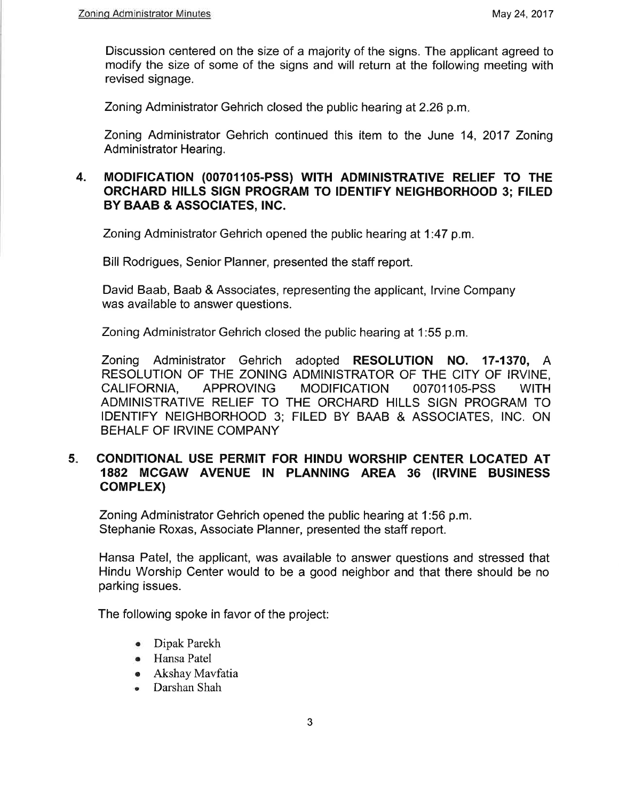Discussion centered on the size of a majority of the signs. The applicant agreed to modify the size of some of the signs and will return at the following meeting with revised signage.

Zoning Administrator Gehrich closed the public hearing at 2.26 p.m.

Zoning Administrator Gehrich continued this item to the June 14, 2017 Zoning Administrator Hearing.

### 4. MODIFICATION (00701105-PSS) WITH ADMINISTRATIVE RELIEF TO THE ORCHARD HILLS SIGN PROGRAM TO IDENTIFY NEIGHBORHOOD 3; FILED BY BAAB & ASSOCIATES, INC.

Zoning Administrator Gehrich opened the public hearing at 1:47 p.m.

Bill Rodrigues, Senior Planner, presented the staff report.

David Baab, Baab & Associates, representing the applícant, lrvine Company was available to answer questions.

Zoning Admínistrator Gehrich closed the public hearing at 1:55 p.m.

Zoning Administrator Gehrich adopted RESOLUTION NO. 17-1370, A RESOLUTION OF THE ZONING ADMINISTRATOR OF THE CITY OF IRVINE, CALIFORNIA, APPROVING MODIFICATION OO7O11Os-PSS WITH ADMINISTRATIVE RELIEF TO THE ORCHARD HILLS SIGN PROGRAM TO IDENTIFY NEIGHBORHOOD 3; FILED BY BAAB & ASSOCIATES, lNC. ON BEHALF OF IRVINE COMPANY

#### CONDITIONAL USE PERMIT FOR HINDU WORSHIP CENTER LOCATED AT 1882 MCGAW AVENUE IN PLANNING AREA 36 (IRVINE BUSINESS coMPLEX) 5

Zoning Administrator Gehrich opened the public hearing at 1:56 p.m. Stephanie Roxas, Associate Planner, presented the staff report.

Hansa Patel, the applicant, was available to answer questíons and stressed that Híndu Worship Center would to be a good neighbor and that there should be no parking issues.

The following spoke in favor of the project:

- o Dipak Parekh
- Hansa Patel
- o Akshay Mavfatia
- . Darshan Shah